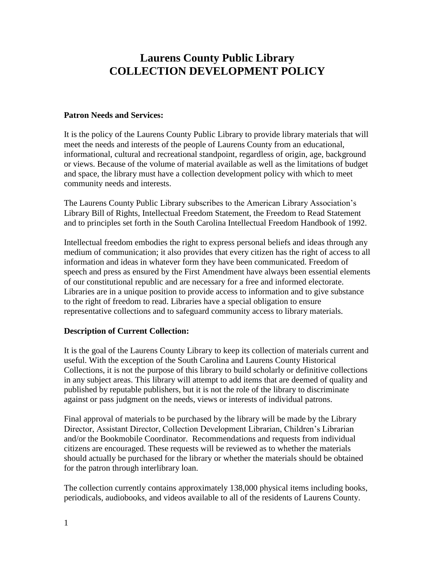# **Laurens County Public Library COLLECTION DEVELOPMENT POLICY**

#### **Patron Needs and Services:**

It is the policy of the Laurens County Public Library to provide library materials that will meet the needs and interests of the people of Laurens County from an educational, informational, cultural and recreational standpoint, regardless of origin, age, background or views. Because of the volume of material available as well as the limitations of budget and space, the library must have a collection development policy with which to meet community needs and interests.

The Laurens County Public Library subscribes to the American Library Association's Library Bill of Rights, Intellectual Freedom Statement, the Freedom to Read Statement and to principles set forth in the South Carolina Intellectual Freedom Handbook of 1992.

Intellectual freedom embodies the right to express personal beliefs and ideas through any medium of communication; it also provides that every citizen has the right of access to all information and ideas in whatever form they have been communicated. Freedom of speech and press as ensured by the First Amendment have always been essential elements of our constitutional republic and are necessary for a free and informed electorate. Libraries are in a unique position to provide access to information and to give substance to the right of freedom to read. Libraries have a special obligation to ensure representative collections and to safeguard community access to library materials.

### **Description of Current Collection:**

It is the goal of the Laurens County Library to keep its collection of materials current and useful. With the exception of the South Carolina and Laurens County Historical Collections, it is not the purpose of this library to build scholarly or definitive collections in any subject areas. This library will attempt to add items that are deemed of quality and published by reputable publishers, but it is not the role of the library to discriminate against or pass judgment on the needs, views or interests of individual patrons.

Final approval of materials to be purchased by the library will be made by the Library Director, Assistant Director, Collection Development Librarian, Children's Librarian and/or the Bookmobile Coordinator. Recommendations and requests from individual citizens are encouraged. These requests will be reviewed as to whether the materials should actually be purchased for the library or whether the materials should be obtained for the patron through interlibrary loan.

The collection currently contains approximately 138,000 physical items including books, periodicals, audiobooks, and videos available to all of the residents of Laurens County.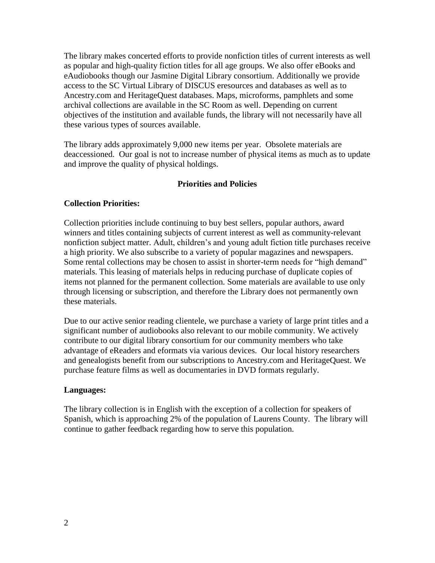The library makes concerted efforts to provide nonfiction titles of current interests as well as popular and high-quality fiction titles for all age groups. We also offer eBooks and eAudiobooks though our Jasmine Digital Library consortium. Additionally we provide access to the SC Virtual Library of DISCUS eresources and databases as well as to Ancestry.com and HeritageQuest databases. Maps, microforms, pamphlets and some archival collections are available in the SC Room as well. Depending on current objectives of the institution and available funds, the library will not necessarily have all these various types of sources available.

The library adds approximately 9,000 new items per year. Obsolete materials are deaccessioned. Our goal is not to increase number of physical items as much as to update and improve the quality of physical holdings.

## **Priorities and Policies**

## **Collection Priorities:**

Collection priorities include continuing to buy best sellers, popular authors, award winners and titles containing subjects of current interest as well as community-relevant nonfiction subject matter. Adult, children's and young adult fiction title purchases receive a high priority. We also subscribe to a variety of popular magazines and newspapers. Some rental collections may be chosen to assist in shorter-term needs for "high demand" materials. This leasing of materials helps in reducing purchase of duplicate copies of items not planned for the permanent collection. Some materials are available to use only through licensing or subscription, and therefore the Library does not permanently own these materials.

Due to our active senior reading clientele, we purchase a variety of large print titles and a significant number of audiobooks also relevant to our mobile community. We actively contribute to our digital library consortium for our community members who take advantage of eReaders and eformats via various devices. Our local history researchers and genealogists benefit from our subscriptions to Ancestry.com and HeritageQuest. We purchase feature films as well as documentaries in DVD formats regularly.

### **Languages:**

The library collection is in English with the exception of a collection for speakers of Spanish, which is approaching 2% of the population of Laurens County. The library will continue to gather feedback regarding how to serve this population.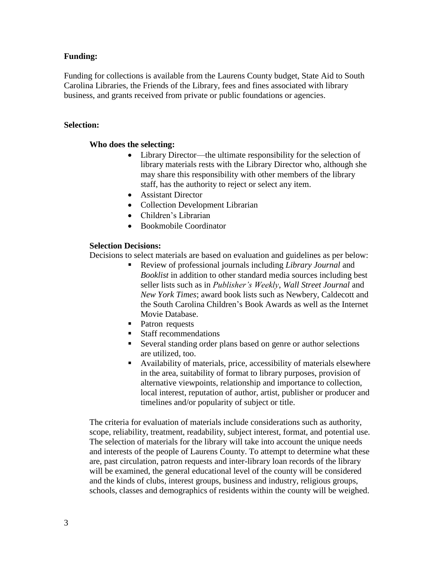## **Funding:**

Funding for collections is available from the Laurens County budget, State Aid to South Carolina Libraries, the Friends of the Library, fees and fines associated with library business, and grants received from private or public foundations or agencies.

## **Selection:**

## **Who does the selecting:**

- Library Director—the ultimate responsibility for the selection of library materials rests with the Library Director who, although she may share this responsibility with other members of the library staff, has the authority to reject or select any item.
- Assistant Director
- Collection Development Librarian
- Children's Librarian
- Bookmobile Coordinator

### **Selection Decisions:**

Decisions to select materials are based on evaluation and guidelines as per below:

- Review of professional journals including *Library Journal* and *Booklist* in addition to other standard media sources including best seller lists such as in *Publisher's Weekly*, *Wall Street Journal* and *New York Times*; award book lists such as Newbery, Caldecott and the South Carolina Children's Book Awards as well as the Internet Movie Database.
- Patron requests
- Staff recommendations
- Several standing order plans based on genre or author selections are utilized, too.
- Availability of materials, price, accessibility of materials elsewhere in the area, suitability of format to library purposes, provision of alternative viewpoints, relationship and importance to collection, local interest, reputation of author, artist, publisher or producer and timelines and/or popularity of subject or title.

The criteria for evaluation of materials include considerations such as authority, scope, reliability, treatment, readability, subject interest, format, and potential use. The selection of materials for the library will take into account the unique needs and interests of the people of Laurens County. To attempt to determine what these are, past circulation, patron requests and inter-library loan records of the library will be examined, the general educational level of the county will be considered and the kinds of clubs, interest groups, business and industry, religious groups, schools, classes and demographics of residents within the county will be weighed.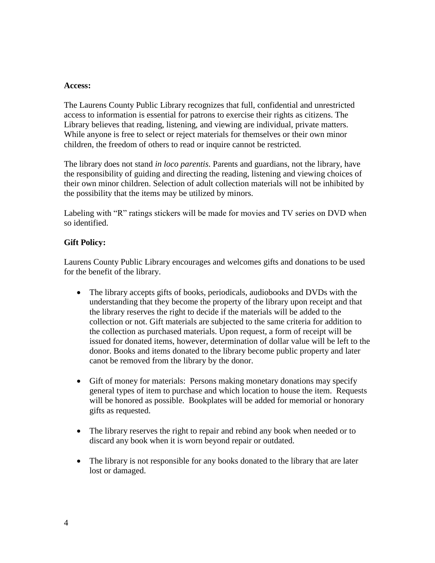#### **Access:**

The Laurens County Public Library recognizes that full, confidential and unrestricted access to information is essential for patrons to exercise their rights as citizens. The Library believes that reading, listening, and viewing are individual, private matters. While anyone is free to select or reject materials for themselves or their own minor children, the freedom of others to read or inquire cannot be restricted.

The library does not stand *in loco parentis*. Parents and guardians, not the library, have the responsibility of guiding and directing the reading, listening and viewing choices of their own minor children. Selection of adult collection materials will not be inhibited by the possibility that the items may be utilized by minors.

Labeling with "R" ratings stickers will be made for movies and TV series on DVD when so identified.

## **Gift Policy:**

Laurens County Public Library encourages and welcomes gifts and donations to be used for the benefit of the library.

- The library accepts gifts of books, periodicals, audiobooks and DVDs with the understanding that they become the property of the library upon receipt and that the library reserves the right to decide if the materials will be added to the collection or not. Gift materials are subjected to the same criteria for addition to the collection as purchased materials. Upon request, a form of receipt will be issued for donated items, however, determination of dollar value will be left to the donor. Books and items donated to the library become public property and later canot be removed from the library by the donor.
- Gift of money for materials: Persons making monetary donations may specify general types of item to purchase and which location to house the item. Requests will be honored as possible. Bookplates will be added for memorial or honorary gifts as requested.
- The library reserves the right to repair and rebind any book when needed or to discard any book when it is worn beyond repair or outdated.
- The library is not responsible for any books donated to the library that are later lost or damaged.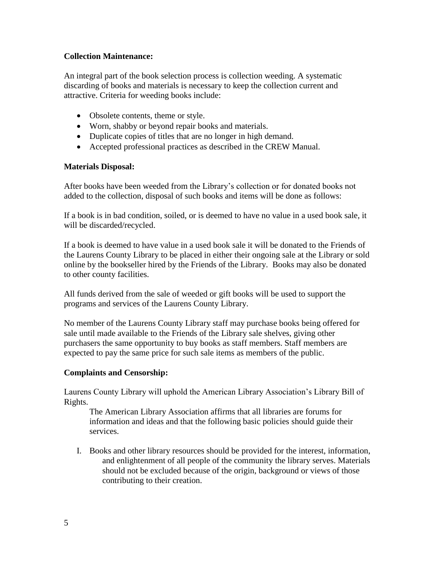## **Collection Maintenance:**

An integral part of the book selection process is collection weeding. A systematic discarding of books and materials is necessary to keep the collection current and attractive. Criteria for weeding books include:

- Obsolete contents, theme or style.
- Worn, shabby or beyond repair books and materials.
- Duplicate copies of titles that are no longer in high demand.
- Accepted professional practices as described in the CREW Manual.

### **Materials Disposal:**

After books have been weeded from the Library's collection or for donated books not added to the collection, disposal of such books and items will be done as follows:

If a book is in bad condition, soiled, or is deemed to have no value in a used book sale, it will be discarded/recycled.

If a book is deemed to have value in a used book sale it will be donated to the Friends of the Laurens County Library to be placed in either their ongoing sale at the Library or sold online by the bookseller hired by the Friends of the Library. Books may also be donated to other county facilities.

All funds derived from the sale of weeded or gift books will be used to support the programs and services of the Laurens County Library.

No member of the Laurens County Library staff may purchase books being offered for sale until made available to the Friends of the Library sale shelves, giving other purchasers the same opportunity to buy books as staff members. Staff members are expected to pay the same price for such sale items as members of the public.

### **Complaints and Censorship:**

Laurens County Library will uphold the American Library Association's Library Bill of Rights.

The American Library Association affirms that all libraries are forums for information and ideas and that the following basic policies should guide their services.

I. Books and other library resources should be provided for the interest, information, and enlightenment of all people of the community the library serves. Materials should not be excluded because of the origin, background or views of those contributing to their creation.